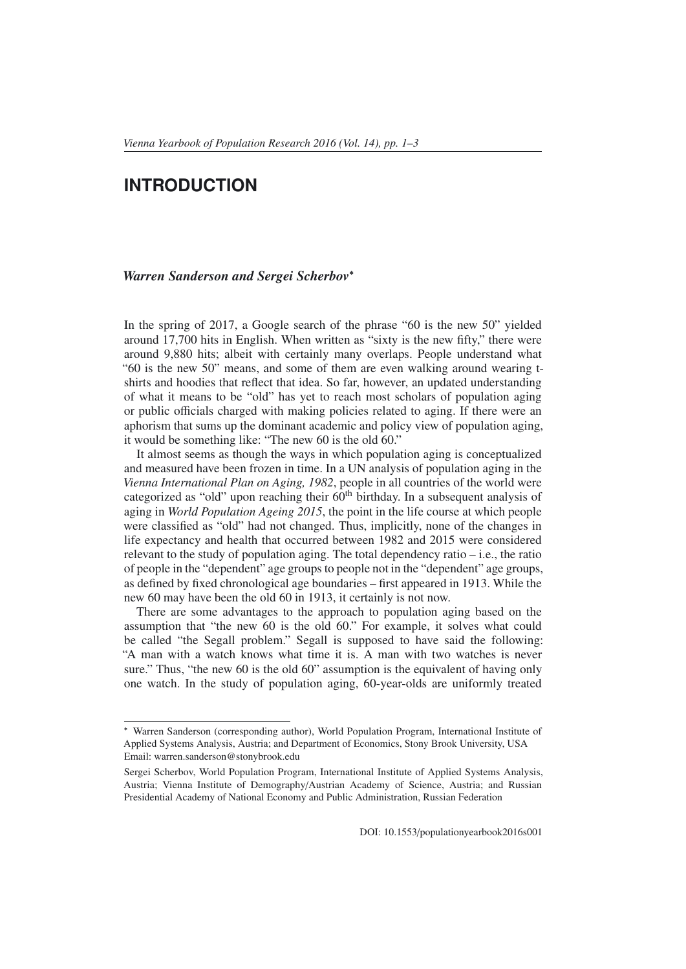## **INTRODUCTION**

## *Warren Sanderson and Sergei Scherbov*<sup>∗</sup>

In the spring of 2017, a Google search of the phrase "60 is the new 50" yielded around 17,700 hits in English. When written as "sixty is the new fifty," there were around 9,880 hits; albeit with certainly many overlaps. People understand what "60 is the new 50" means, and some of them are even walking around wearing tshirts and hoodies that reflect that idea. So far, however, an updated understanding of what it means to be "old" has yet to reach most scholars of population aging or public officials charged with making policies related to aging. If there were an aphorism that sums up the dominant academic and policy view of population aging, it would be something like: "The new 60 is the old 60."

It almost seems as though the ways in which population aging is conceptualized and measured have been frozen in time. In a UN analysis of population aging in the *Vienna International Plan on Aging, 1982*, people in all countries of the world were categorized as "old" upon reaching their  $60<sup>th</sup>$  birthday. In a subsequent analysis of aging in *World Population Ageing 2015*, the point in the life course at which people were classified as "old" had not changed. Thus, implicitly, none of the changes in life expectancy and health that occurred between 1982 and 2015 were considered relevant to the study of population aging. The total dependency ratio – i.e., the ratio of people in the "dependent" age groups to people not in the "dependent" age groups, as defined by fixed chronological age boundaries – first appeared in 1913. While the new 60 may have been the old 60 in 1913, it certainly is not now.

There are some advantages to the approach to population aging based on the assumption that "the new 60 is the old 60." For example, it solves what could be called "the Segall problem." Segall is supposed to have said the following: "A man with a watch knows what time it is. A man with two watches is never sure." Thus, "the new 60 is the old 60" assumption is the equivalent of having only one watch. In the study of population aging, 60-year-olds are uniformly treated

<sup>∗</sup> Warren Sanderson (corresponding author), World Population Program, International Institute of Applied Systems Analysis, Austria; and Department of Economics, Stony Brook University, USA Email: warren.sanderson@stonybrook.edu

Sergei Scherbov, World Population Program, International Institute of Applied Systems Analysis, Austria; Vienna Institute of Demography/Austrian Academy of Science, Austria; and Russian Presidential Academy of National Economy and Public Administration, Russian Federation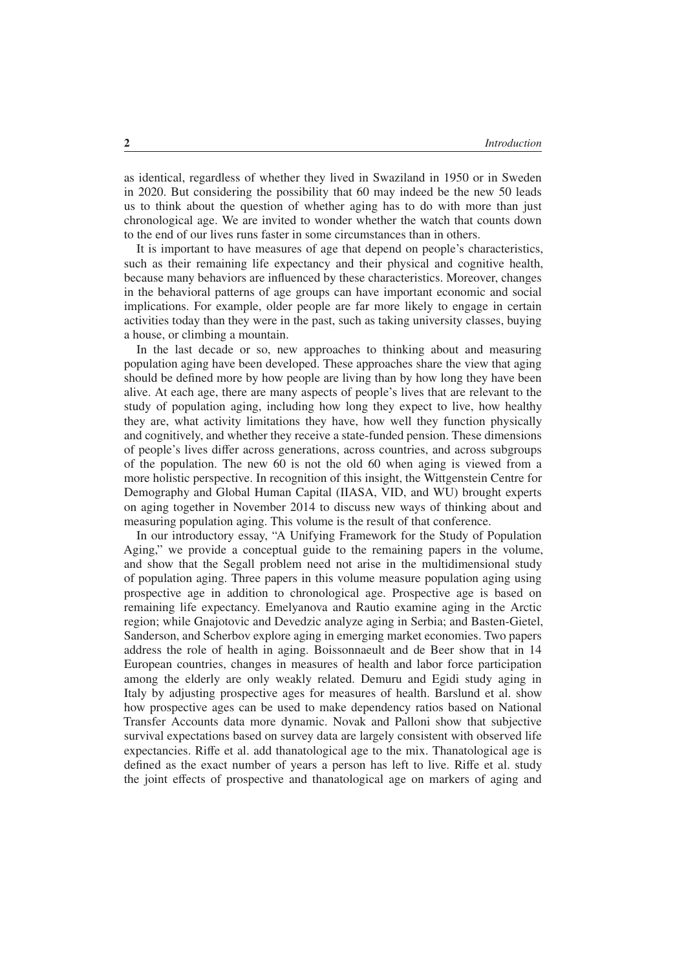as identical, regardless of whether they lived in Swaziland in 1950 or in Sweden in 2020. But considering the possibility that 60 may indeed be the new 50 leads us to think about the question of whether aging has to do with more than just chronological age. We are invited to wonder whether the watch that counts down to the end of our lives runs faster in some circumstances than in others.

It is important to have measures of age that depend on people's characteristics, such as their remaining life expectancy and their physical and cognitive health, because many behaviors are influenced by these characteristics. Moreover, changes in the behavioral patterns of age groups can have important economic and social implications. For example, older people are far more likely to engage in certain activities today than they were in the past, such as taking university classes, buying a house, or climbing a mountain.

In the last decade or so, new approaches to thinking about and measuring population aging have been developed. These approaches share the view that aging should be defined more by how people are living than by how long they have been alive. At each age, there are many aspects of people's lives that are relevant to the study of population aging, including how long they expect to live, how healthy they are, what activity limitations they have, how well they function physically and cognitively, and whether they receive a state-funded pension. These dimensions of people's lives differ across generations, across countries, and across subgroups of the population. The new 60 is not the old 60 when aging is viewed from a more holistic perspective. In recognition of this insight, the Wittgenstein Centre for Demography and Global Human Capital (IIASA, VID, and WU) brought experts on aging together in November 2014 to discuss new ways of thinking about and measuring population aging. This volume is the result of that conference.

In our introductory essay, "A Unifying Framework for the Study of Population Aging," we provide a conceptual guide to the remaining papers in the volume, and show that the Segall problem need not arise in the multidimensional study of population aging. Three papers in this volume measure population aging using prospective age in addition to chronological age. Prospective age is based on remaining life expectancy. Emelyanova and Rautio examine aging in the Arctic region; while Gnajotovic and Devedzic analyze aging in Serbia; and Basten-Gietel, Sanderson, and Scherbov explore aging in emerging market economies. Two papers address the role of health in aging. Boissonnaeult and de Beer show that in 14 European countries, changes in measures of health and labor force participation among the elderly are only weakly related. Demuru and Egidi study aging in Italy by adjusting prospective ages for measures of health. Barslund et al. show how prospective ages can be used to make dependency ratios based on National Transfer Accounts data more dynamic. Novak and Palloni show that subjective survival expectations based on survey data are largely consistent with observed life expectancies. Riffe et al. add thanatological age to the mix. Thanatological age is defined as the exact number of years a person has left to live. Riffe et al. study the joint effects of prospective and thanatological age on markers of aging and